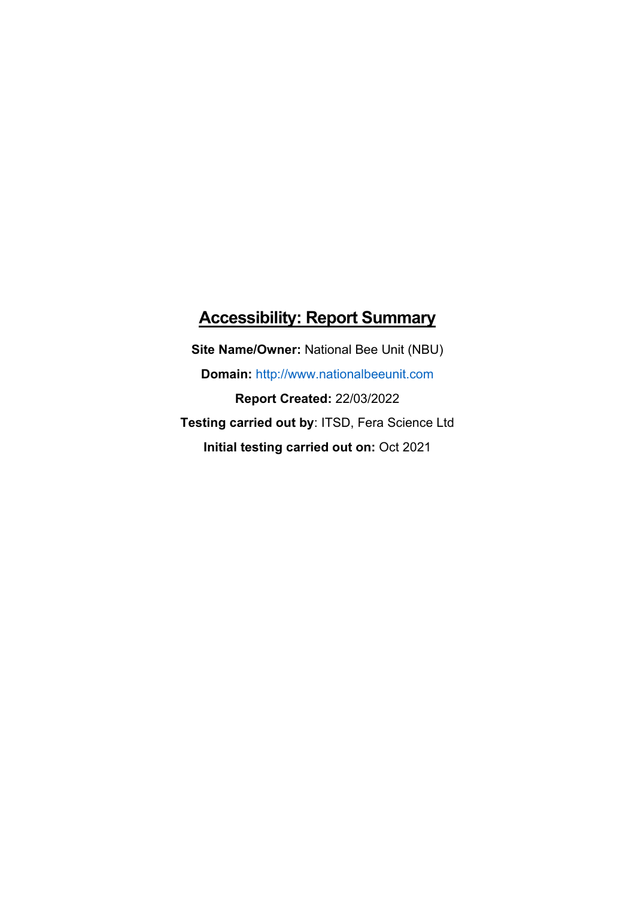# **Accessibility: Report Summary**

**Site Name/Owner:** National Bee Unit (NBU) **Domain:** [http://www.nationalbeeunit.com](http://www.nonnativespecies.org/) **Report Created:** 22/03/2022 **Testing carried out by**: ITSD, Fera Science Ltd **Initial testing carried out on:** Oct 2021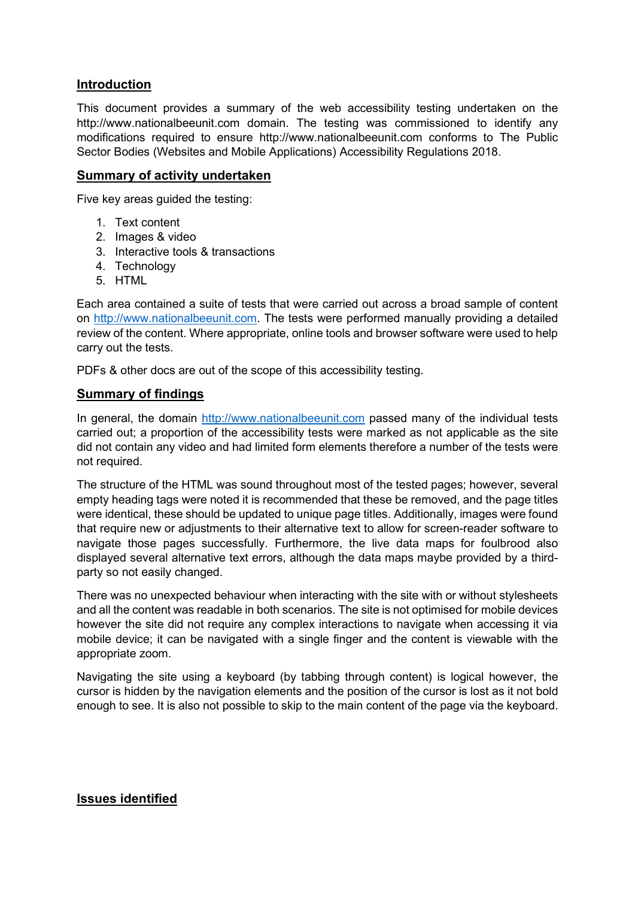#### **Introduction**

This document provides a summary of the web accessibility testing undertaken on the [http://www.nationalbeeunit.com](http://www.nonnativespecies.org/) domain. The testing was commissioned to identify any modifications required to ensure [http://www.nationalbeeunit.com](http://www.nonnativespecies.org/) conforms to The Public Sector Bodies (Websites and Mobile Applications) Accessibility Regulations 2018.

#### **Summary of activity undertaken**

Five key areas guided the testing:

- 1. Text content
- 2. Images & video
- 3. Interactive tools & transactions
- 4. Technology
- 5. HTML

Each area contained a suite of tests that were carried out across a broad sample of content on [http://www.nationalbeeunit.com.](http://www.nonnativespecies.org/) The tests were performed manually providing a detailed review of the content. Where appropriate, online tools and browser software were used to help carry out the tests.

PDFs & other docs are out of the scope of this accessibility testing.

#### **Summary of findings**

In general, the domain [http://www.nationalbeeunit.com](http://www.nonnativespecies.org/) passed many of the individual tests carried out; a proportion of the accessibility tests were marked as not applicable as the site did not contain any video and had limited form elements therefore a number of the tests were not required.

The structure of the HTML was sound throughout most of the tested pages; however, several empty heading tags were noted it is recommended that these be removed, and the page titles were identical, these should be updated to unique page titles. Additionally, images were found that require new or adjustments to their alternative text to allow for screen-reader software to navigate those pages successfully. Furthermore, the live data maps for foulbrood also displayed several alternative text errors, although the data maps maybe provided by a thirdparty so not easily changed.

There was no unexpected behaviour when interacting with the site with or without stylesheets and all the content was readable in both scenarios. The site is not optimised for mobile devices however the site did not require any complex interactions to navigate when accessing it via mobile device; it can be navigated with a single finger and the content is viewable with the appropriate zoom.

Navigating the site using a keyboard (by tabbing through content) is logical however, the cursor is hidden by the navigation elements and the position of the cursor is lost as it not bold enough to see. It is also not possible to skip to the main content of the page via the keyboard.

## **Issues identified**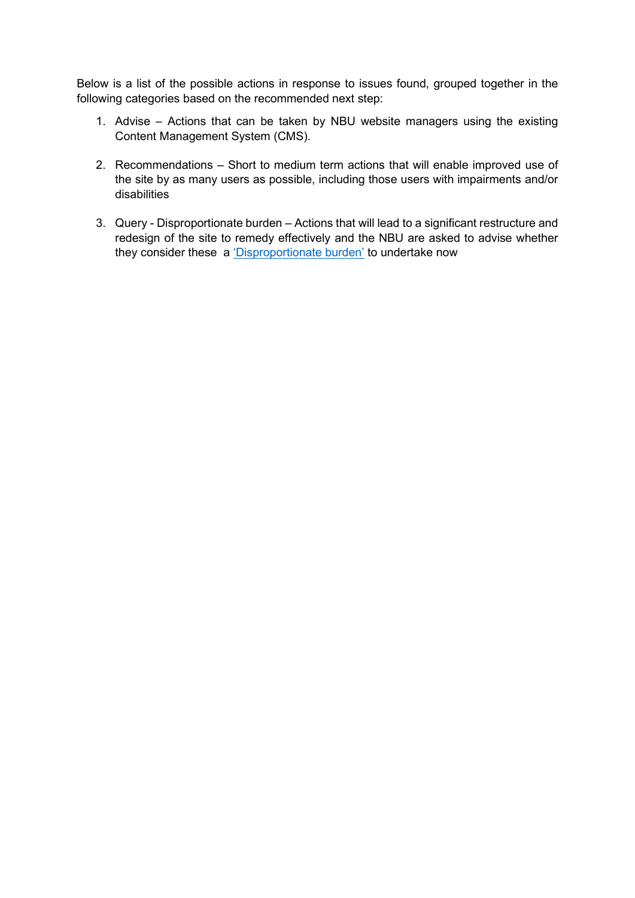Below is a list of the possible actions in response to issues found, grouped together in the following categories based on the recommended next step:

- 1. Advise Actions that can be taken by NBU website managers using the existing Content Management System (CMS).
- 2. Recommendations Short to medium term actions that will enable improved use of the site by as many users as possible, including those users with impairments and/or disabilities
- 3. Query Disproportionate burden Actions that will lead to a significant restructure and redesign of the site to remedy effectively and the NBU are asked to advise whether they consider these a ['Disproportionate burden'](https://www.gov.uk/guidance/accessibility-requirements-for-public-sector-websites-and-apps#when-complying-with-accessibility-regulations-might-be-a-disproportionate-burden) to undertake now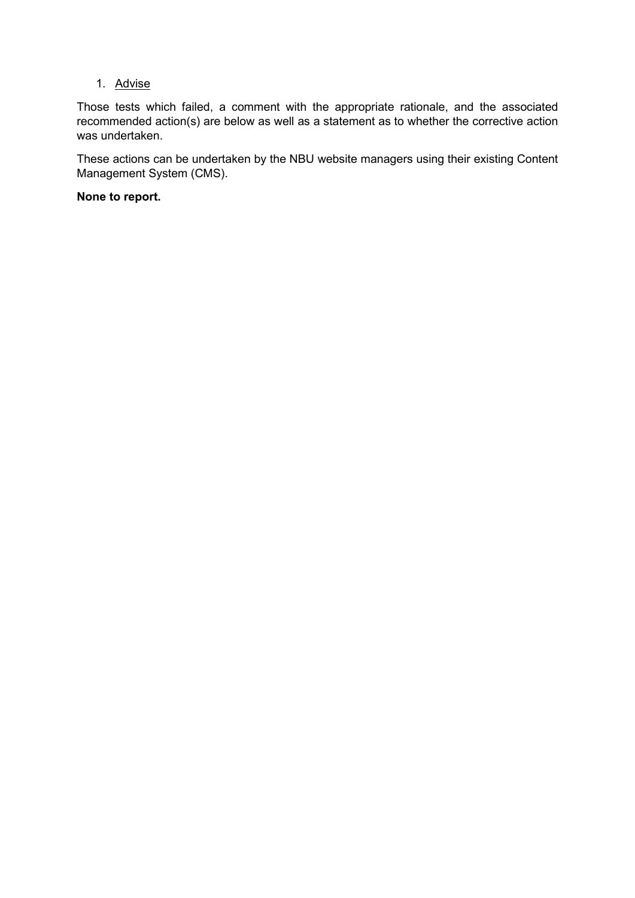## 1. Advise

Those tests which failed, a comment with the appropriate rationale, and the associated recommended action(s) are below as well as a statement as to whether the corrective action was undertaken.

These actions can be undertaken by the NBU website managers using their existing Content Management System (CMS).

## **None to report.**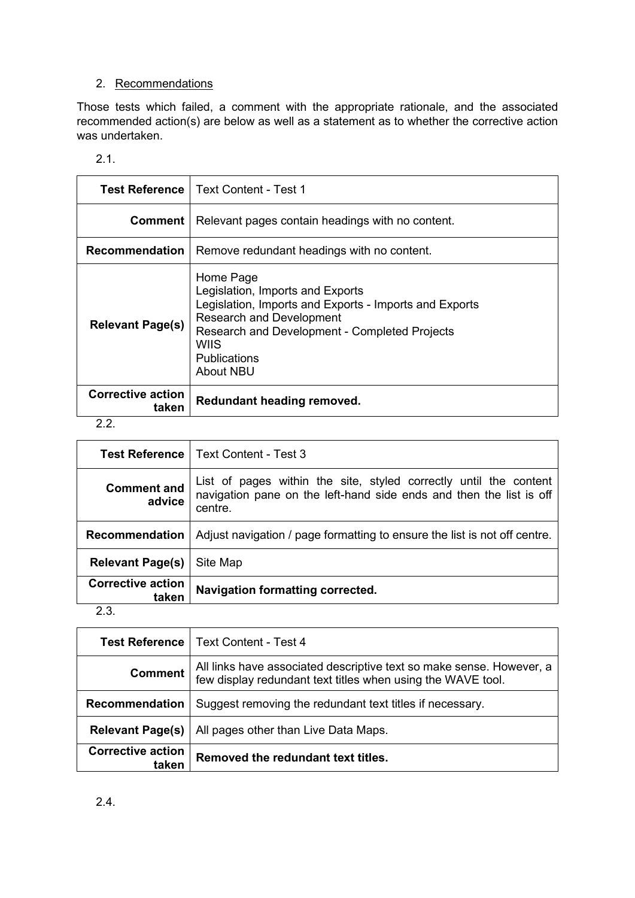## 2. Recommendations

Those tests which failed, a comment with the appropriate rationale, and the associated recommended action(s) are below as well as a statement as to whether the corrective action was undertaken.

| ×<br>a sa |  |
|-----------|--|
|           |  |
|           |  |

|                                   | <b>Test Reference   Text Content - Test 1</b>                                                                                                                                                                                                  |
|-----------------------------------|------------------------------------------------------------------------------------------------------------------------------------------------------------------------------------------------------------------------------------------------|
| Comment                           | Relevant pages contain headings with no content.                                                                                                                                                                                               |
| <b>Recommendation</b>             | Remove redundant headings with no content.                                                                                                                                                                                                     |
| <b>Relevant Page(s)</b>           | Home Page<br>Legislation, Imports and Exports<br>Legislation, Imports and Exports - Imports and Exports<br><b>Research and Development</b><br><b>Research and Development - Completed Projects</b><br>WIIS<br><b>Publications</b><br>About NBU |
| <b>Corrective action</b><br>taken | Redundant heading removed.                                                                                                                                                                                                                     |

#### 2.2.

|                                   | <b>Test Reference</b>   Text Content - Test 3                                                                                                       |
|-----------------------------------|-----------------------------------------------------------------------------------------------------------------------------------------------------|
| <b>Comment and</b><br>advice      | List of pages within the site, styled correctly until the content<br>navigation pane on the left-hand side ends and then the list is off<br>centre. |
| Recommendation                    | Adjust navigation / page formatting to ensure the list is not off centre.                                                                           |
| <b>Relevant Page(s)</b>           | Site Map                                                                                                                                            |
| <b>Corrective action</b><br>taken | <b>Navigation formatting corrected.</b>                                                                                                             |

## 2.3.

| <b>Test Reference</b>             | <b>Text Content - Test 4</b>                                                                                                        |
|-----------------------------------|-------------------------------------------------------------------------------------------------------------------------------------|
| <b>Comment</b>                    | All links have associated descriptive text so make sense. However, a<br>few display redundant text titles when using the WAVE tool. |
| Recommendation                    | Suggest removing the redundant text titles if necessary.                                                                            |
| <b>Relevant Page(s)</b>           | All pages other than Live Data Maps.                                                                                                |
| <b>Corrective action</b><br>taken | Removed the redundant text titles.                                                                                                  |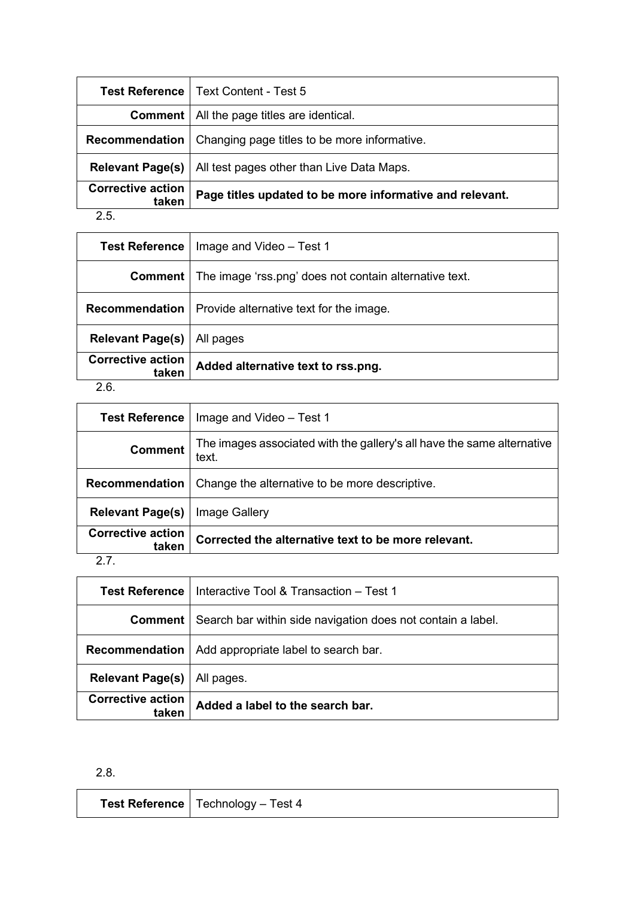| <b>Test Reference</b>             | <b>Text Content - Test 5</b>                             |
|-----------------------------------|----------------------------------------------------------|
| Comment                           | All the page titles are identical.                       |
| Recommendation                    | Changing page titles to be more informative.             |
| <b>Relevant Page(s)</b>           | All test pages other than Live Data Maps.                |
| <b>Corrective action</b><br>taken | Page titles updated to be more informative and relevant. |
| OF.                               |                                                          |

| ×         | ٠                 |  |
|-----------|-------------------|--|
| I<br>a sa | ×<br>ł<br>۰.<br>× |  |

| <b>Test Reference</b>             | Image and Video - Test 1                                                |
|-----------------------------------|-------------------------------------------------------------------------|
|                                   | <b>Comment</b>   The image 'rss.png' does not contain alternative text. |
|                                   | <b>Recommendation</b>   Provide alternative text for the image.         |
| <b>Relevant Page(s)</b>           | All pages                                                               |
| <b>Corrective action</b><br>taken | Added alternative text to rss.png.                                      |
|                                   |                                                                         |

## 2.6.

| <b>Test Reference</b>             | Image and Video - Test 1                                                        |
|-----------------------------------|---------------------------------------------------------------------------------|
| <b>Comment</b>                    | The images associated with the gallery's all have the same alternative<br>text. |
| <b>Recommendation</b>             | Change the alternative to be more descriptive.                                  |
| <b>Relevant Page(s)</b>           | Image Gallery                                                                   |
| <b>Corrective action</b><br>taken | Corrected the alternative text to be more relevant.                             |
|                                   |                                                                                 |

## 2.7.

| Test Reference                    | Interactive Tool & Transaction – Test 1                                    |
|-----------------------------------|----------------------------------------------------------------------------|
|                                   | <b>Comment</b> Search bar within side navigation does not contain a label. |
| Recommendation                    | Add appropriate label to search bar.                                       |
| <b>Relevant Page(s)</b>           | All pages.                                                                 |
| <b>Corrective action</b><br>taken | Added a label to the search bar.                                           |

## 2.8.

| <b>Test Reference</b>   Technology $-$ Test 4 |
|-----------------------------------------------|
|                                               |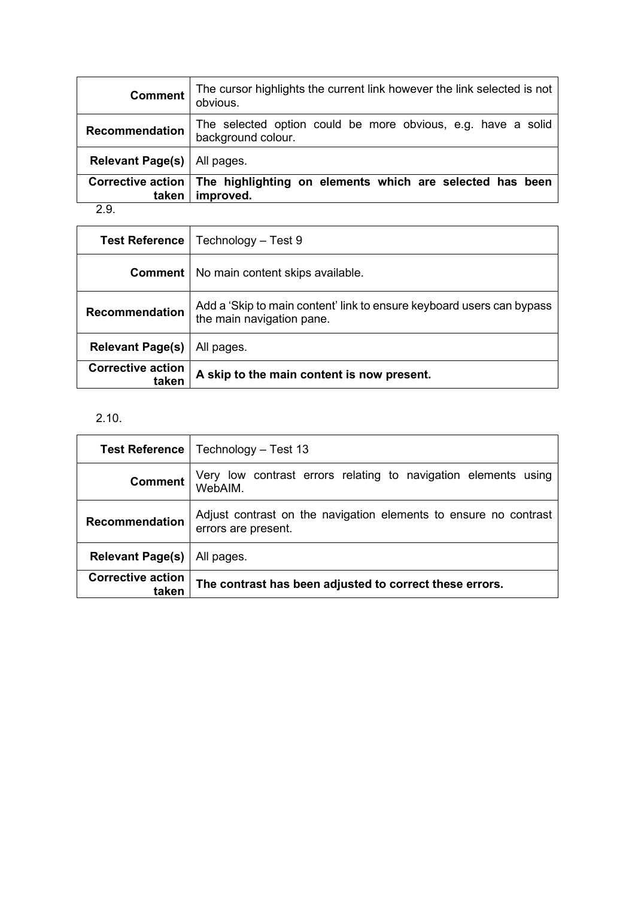| <b>Comment</b>                    | The cursor highlights the current link however the link selected is not<br>obvious. |
|-----------------------------------|-------------------------------------------------------------------------------------|
| Recommendation                    | The selected option could be more obvious, e.g. have a solid<br>background colour.  |
| Relevant Page(s)   All pages.     |                                                                                     |
| <b>Corrective action</b><br>taken | The highlighting on elements which are selected has been<br>improved.               |

2.9.

| <b>Test Reference</b>             | Technology - Test 9                                                                                |
|-----------------------------------|----------------------------------------------------------------------------------------------------|
|                                   | <b>Comment</b>   No main content skips available.                                                  |
| Recommendation                    | Add a 'Skip to main content' link to ensure keyboard users can bypass<br>the main navigation pane. |
| <b>Relevant Page(s)</b>           | All pages.                                                                                         |
| <b>Corrective action</b><br>taken | A skip to the main content is now present.                                                         |

# 2.10.

|                                   | <b>Test Reference</b>   Technology – Test 13                                            |
|-----------------------------------|-----------------------------------------------------------------------------------------|
| Comment                           | Very low contrast errors relating to navigation elements using<br>WebAIM.               |
| Recommendation                    | Adjust contrast on the navigation elements to ensure no contrast<br>errors are present. |
| <b>Relevant Page(s)</b>           | All pages.                                                                              |
| <b>Corrective action</b><br>taken | The contrast has been adjusted to correct these errors.                                 |